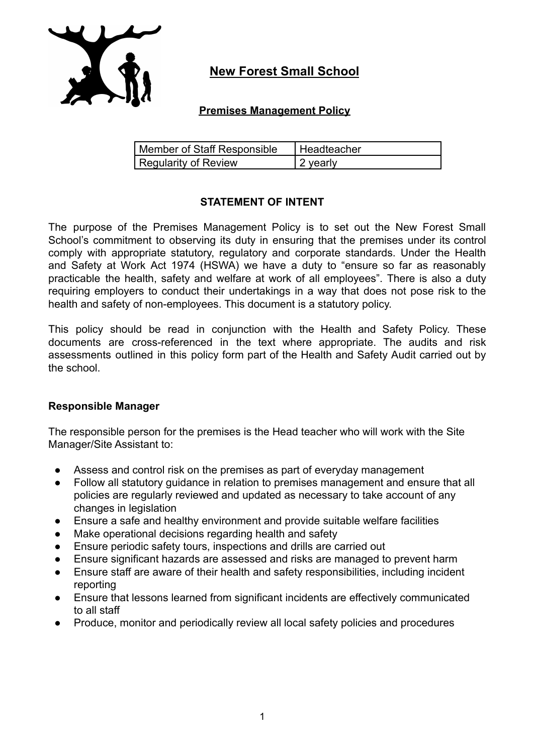

# **New Forest Small School**

## **Premises Management Policy**

| Member of Staff Responsible | Headteacher |
|-----------------------------|-------------|
| Regularity of Review        | 12 yearly   |

## **STATEMENT OF INTENT**

The purpose of the Premises Management Policy is to set out the New Forest Small School's commitment to observing its duty in ensuring that the premises under its control comply with appropriate statutory, regulatory and corporate standards. Under the Health and Safety at Work Act 1974 (HSWA) we have a duty to "ensure so far as reasonably practicable the health, safety and welfare at work of all employees". There is also a duty requiring employers to conduct their undertakings in a way that does not pose risk to the health and safety of non-employees. This document is a statutory policy.

This policy should be read in conjunction with the Health and Safety Policy. These documents are cross-referenced in the text where appropriate. The audits and risk assessments outlined in this policy form part of the Health and Safety Audit carried out by the school.

### **Responsible Manager**

The responsible person for the premises is the Head teacher who will work with the Site Manager/Site Assistant to:

- Assess and control risk on the premises as part of everyday management
- Follow all statutory guidance in relation to premises management and ensure that all policies are regularly reviewed and updated as necessary to take account of any changes in legislation
- Ensure a safe and healthy environment and provide suitable welfare facilities
- Make operational decisions regarding health and safety
- Ensure periodic safety tours, inspections and drills are carried out
- Ensure significant hazards are assessed and risks are managed to prevent harm
- Ensure staff are aware of their health and safety responsibilities, including incident reporting
- Ensure that lessons learned from significant incidents are effectively communicated to all staff
- Produce, monitor and periodically review all local safety policies and procedures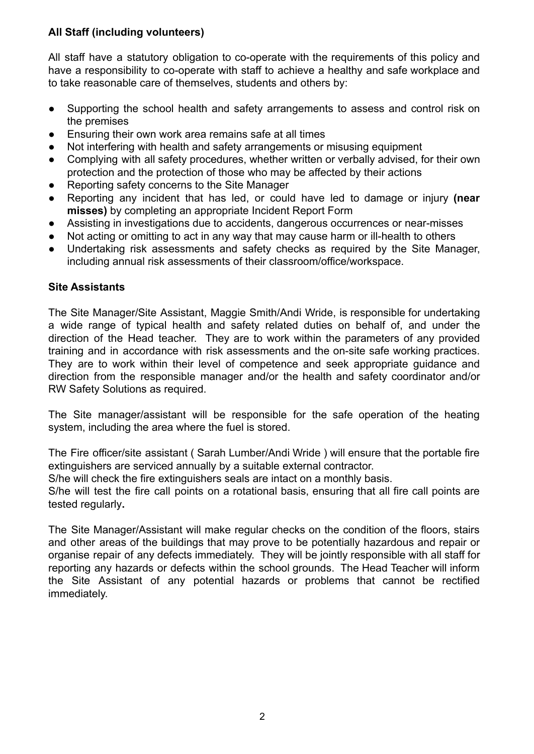# **All Staff (including volunteers)**

All staff have a statutory obligation to co-operate with the requirements of this policy and have a responsibility to co-operate with staff to achieve a healthy and safe workplace and to take reasonable care of themselves, students and others by:

- Supporting the school health and safety arrangements to assess and control risk on the premises
- Ensuring their own work area remains safe at all times
- Not interfering with health and safety arrangements or misusing equipment
- Complying with all safety procedures, whether written or verbally advised, for their own protection and the protection of those who may be affected by their actions
- Reporting safety concerns to the Site Manager
- Reporting any incident that has led, or could have led to damage or injury **(near misses)** by completing an appropriate Incident Report Form
- Assisting in investigations due to accidents, dangerous occurrences or near-misses
- Not acting or omitting to act in any way that may cause harm or ill-health to others
- Undertaking risk assessments and safety checks as required by the Site Manager, including annual risk assessments of their classroom/office/workspace.

# **Site Assistants**

The Site Manager/Site Assistant, Maggie Smith/Andi Wride, is responsible for undertaking a wide range of typical health and safety related duties on behalf of, and under the direction of the Head teacher. They are to work within the parameters of any provided training and in accordance with risk assessments and the on-site safe working practices. They are to work within their level of competence and seek appropriate guidance and direction from the responsible manager and/or the health and safety coordinator and/or RW Safety Solutions as required.

The Site manager/assistant will be responsible for the safe operation of the heating system, including the area where the fuel is stored.

The Fire officer/site assistant ( Sarah Lumber/Andi Wride ) will ensure that the portable fire extinguishers are serviced annually by a suitable external contractor.

S/he will check the fire extinguishers seals are intact on a monthly basis.

S/he will test the fire call points on a rotational basis, ensuring that all fire call points are tested regularly**.**

The Site Manager/Assistant will make regular checks on the condition of the floors, stairs and other areas of the buildings that may prove to be potentially hazardous and repair or organise repair of any defects immediately. They will be jointly responsible with all staff for reporting any hazards or defects within the school grounds. The Head Teacher will inform the Site Assistant of any potential hazards or problems that cannot be rectified immediately.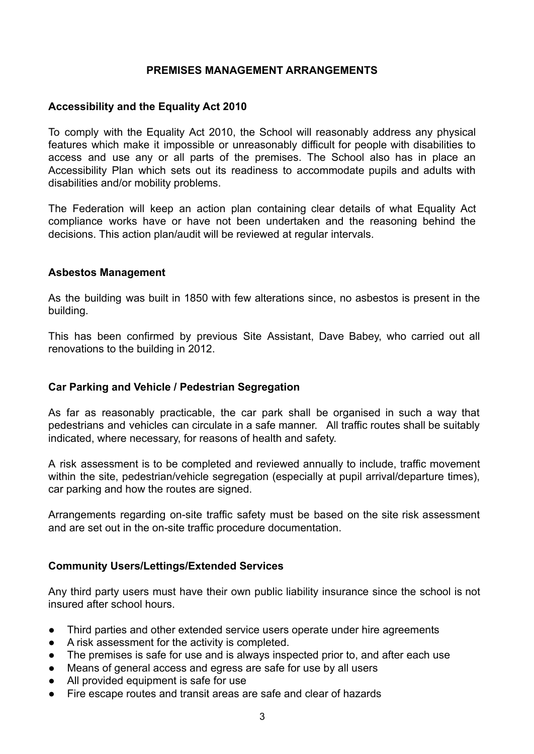### **PREMISES MANAGEMENT ARRANGEMENTS**

#### **Accessibility and the Equality Act 2010**

To comply with the Equality Act 2010, the School will reasonably address any physical features which make it impossible or unreasonably difficult for people with disabilities to access and use any or all parts of the premises. The School also has in place an Accessibility Plan which sets out its readiness to accommodate pupils and adults with disabilities and/or mobility problems.

The Federation will keep an action plan containing clear details of what Equality Act compliance works have or have not been undertaken and the reasoning behind the decisions. This action plan/audit will be reviewed at regular intervals.

#### **Asbestos Management**

As the building was built in 1850 with few alterations since, no asbestos is present in the building.

This has been confirmed by previous Site Assistant, Dave Babey, who carried out all renovations to the building in 2012.

#### **Car Parking and Vehicle / Pedestrian Segregation**

As far as reasonably practicable, the car park shall be organised in such a way that pedestrians and vehicles can circulate in a safe manner. All traffic routes shall be suitably indicated, where necessary, for reasons of health and safety.

A risk assessment is to be completed and reviewed annually to include, traffic movement within the site, pedestrian/vehicle segregation (especially at pupil arrival/departure times). car parking and how the routes are signed.

Arrangements regarding on-site traffic safety must be based on the site risk assessment and are set out in the on-site traffic procedure documentation.

#### **Community Users/Lettings/Extended Services**

Any third party users must have their own public liability insurance since the school is not insured after school hours.

- Third parties and other extended service users operate under hire agreements
- A risk assessment for the activity is completed.
- The premises is safe for use and is always inspected prior to, and after each use
- Means of general access and egress are safe for use by all users
- All provided equipment is safe for use
- Fire escape routes and transit areas are safe and clear of hazards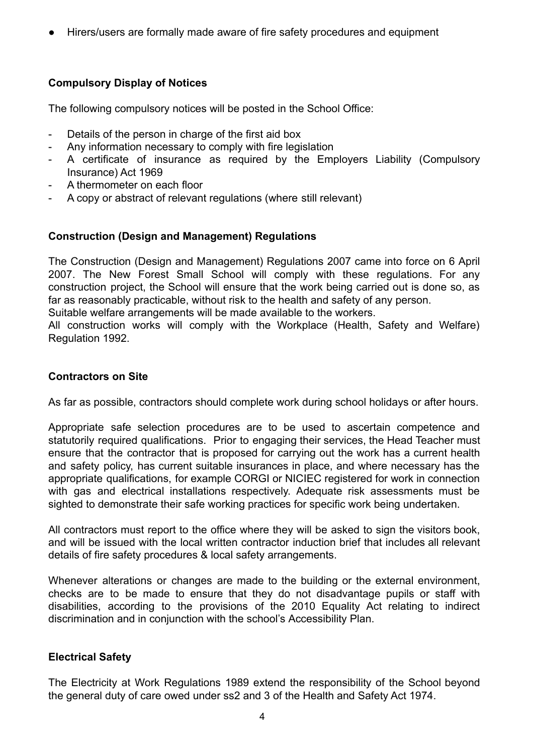Hirers/users are formally made aware of fire safety procedures and equipment

# **Compulsory Display of Notices**

The following compulsory notices will be posted in the School Office:

- Details of the person in charge of the first aid box
- Any information necessary to comply with fire legislation
- A certificate of insurance as required by the Employers Liability (Compulsory Insurance) Act 1969
- A thermometer on each floor
- A copy or abstract of relevant regulations (where still relevant)

# **Construction (Design and Management) Regulations**

The Construction (Design and Management) Regulations 2007 came into force on 6 April 2007. The New Forest Small School will comply with these regulations. For any construction project, the School will ensure that the work being carried out is done so, as far as reasonably practicable, without risk to the health and safety of any person.

Suitable welfare arrangements will be made available to the workers.

All construction works will comply with the Workplace (Health, Safety and Welfare) Regulation 1992.

## **Contractors on Site**

As far as possible, contractors should complete work during school holidays or after hours.

Appropriate safe selection procedures are to be used to ascertain competence and statutorily required qualifications. Prior to engaging their services, the Head Teacher must ensure that the contractor that is proposed for carrying out the work has a current health and safety policy, has current suitable insurances in place, and where necessary has the appropriate qualifications, for example CORGI or NICIEC registered for work in connection with gas and electrical installations respectively. Adequate risk assessments must be sighted to demonstrate their safe working practices for specific work being undertaken.

All contractors must report to the office where they will be asked to sign the visitors book, and will be issued with the local written contractor induction brief that includes all relevant details of fire safety procedures & local safety arrangements.

Whenever alterations or changes are made to the building or the external environment, checks are to be made to ensure that they do not disadvantage pupils or staff with disabilities, according to the provisions of the 2010 Equality Act relating to indirect discrimination and in conjunction with the school's Accessibility Plan.

# **Electrical Safety**

The Electricity at Work Regulations 1989 extend the responsibility of the School beyond the general duty of care owed under ss2 and 3 of the Health and Safety Act 1974.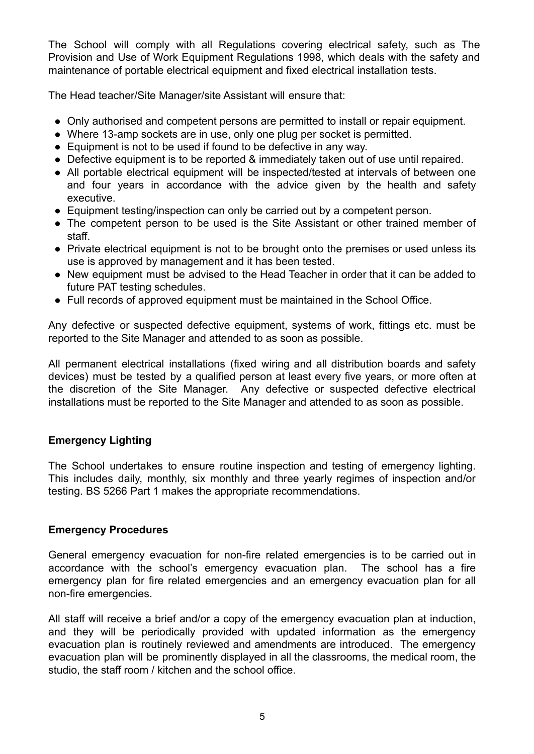The School will comply with all Regulations covering electrical safety, such as The Provision and Use of Work Equipment Regulations 1998, which deals with the safety and maintenance of portable electrical equipment and fixed electrical installation tests.

The Head teacher/Site Manager/site Assistant will ensure that:

- Only authorised and competent persons are permitted to install or repair equipment.
- Where 13-amp sockets are in use, only one plug per socket is permitted.
- Equipment is not to be used if found to be defective in any way.
- Defective equipment is to be reported & immediately taken out of use until repaired.
- All portable electrical equipment will be inspected/tested at intervals of between one and four years in accordance with the advice given by the health and safety executive.
- Equipment testing/inspection can only be carried out by a competent person.
- The competent person to be used is the Site Assistant or other trained member of staff.
- Private electrical equipment is not to be brought onto the premises or used unless its use is approved by management and it has been tested.
- New equipment must be advised to the Head Teacher in order that it can be added to future PAT testing schedules.
- Full records of approved equipment must be maintained in the School Office.

Any defective or suspected defective equipment, systems of work, fittings etc. must be reported to the Site Manager and attended to as soon as possible.

All permanent electrical installations (fixed wiring and all distribution boards and safety devices) must be tested by a qualified person at least every five years, or more often at the discretion of the Site Manager. Any defective or suspected defective electrical installations must be reported to the Site Manager and attended to as soon as possible.

# **Emergency Lighting**

The School undertakes to ensure routine inspection and testing of emergency lighting. This includes daily, monthly, six monthly and three yearly regimes of inspection and/or testing. BS 5266 Part 1 makes the appropriate recommendations.

### **Emergency Procedures**

General emergency evacuation for non-fire related emergencies is to be carried out in accordance with the school's emergency evacuation plan. The school has a fire emergency plan for fire related emergencies and an emergency evacuation plan for all non-fire emergencies.

All staff will receive a brief and/or a copy of the emergency evacuation plan at induction, and they will be periodically provided with updated information as the emergency evacuation plan is routinely reviewed and amendments are introduced. The emergency evacuation plan will be prominently displayed in all the classrooms, the medical room, the studio, the staff room / kitchen and the school office.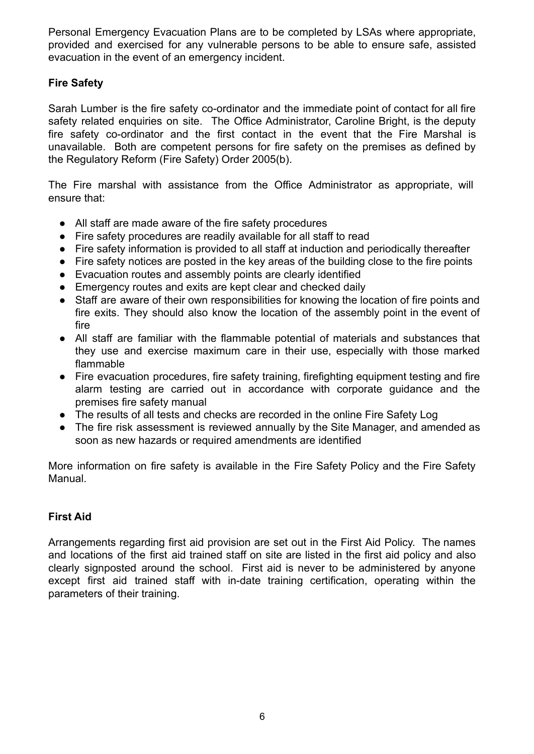Personal Emergency Evacuation Plans are to be completed by LSAs where appropriate, provided and exercised for any vulnerable persons to be able to ensure safe, assisted evacuation in the event of an emergency incident.

# **Fire Safety**

Sarah Lumber is the fire safety co-ordinator and the immediate point of contact for all fire safety related enquiries on site. The Office Administrator, Caroline Bright, is the deputy fire safety co-ordinator and the first contact in the event that the Fire Marshal is unavailable. Both are competent persons for fire safety on the premises as defined by the Regulatory Reform (Fire Safety) Order 2005(b).

The Fire marshal with assistance from the Office Administrator as appropriate, will ensure that:

- All staff are made aware of the fire safety procedures
- Fire safety procedures are readily available for all staff to read
- Fire safety information is provided to all staff at induction and periodically thereafter
- Fire safety notices are posted in the key areas of the building close to the fire points
- Evacuation routes and assembly points are clearly identified
- Emergency routes and exits are kept clear and checked daily
- Staff are aware of their own responsibilities for knowing the location of fire points and fire exits. They should also know the location of the assembly point in the event of fire
- All staff are familiar with the flammable potential of materials and substances that they use and exercise maximum care in their use, especially with those marked flammable
- Fire evacuation procedures, fire safety training, firefighting equipment testing and fire alarm testing are carried out in accordance with corporate guidance and the premises fire safety manual
- The results of all tests and checks are recorded in the online Fire Safety Log
- The fire risk assessment is reviewed annually by the Site Manager, and amended as soon as new hazards or required amendments are identified

More information on fire safety is available in the Fire Safety Policy and the Fire Safety Manual.

# **First Aid**

Arrangements regarding first aid provision are set out in the First Aid Policy. The names and locations of the first aid trained staff on site are listed in the first aid policy and also clearly signposted around the school. First aid is never to be administered by anyone except first aid trained staff with in-date training certification, operating within the parameters of their training.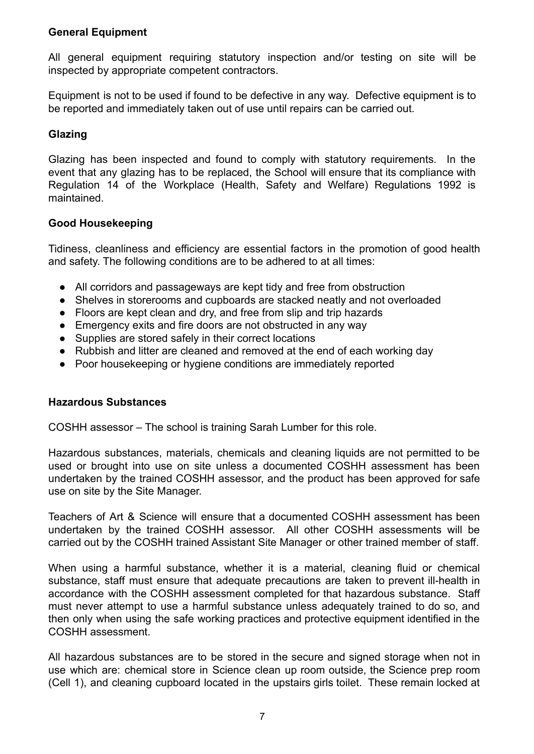# **General Equipment**

All general equipment requiring statutory inspection and/or testing on site will be inspected by appropriate competent contractors.

Equipment is not to be used if found to be defective in any way. Defective equipment is to be reported and immediately taken out of use until repairs can be carried out.

# **Glazing**

Glazing has been inspected and found to comply with statutory requirements. In the event that any glazing has to be replaced, the School will ensure that its compliance with Regulation 14 of the Workplace (Health, Safety and Welfare) Regulations 1992 is maintained.

# **Good Housekeeping**

Tidiness, cleanliness and efficiency are essential factors in the promotion of good health and safety. The following conditions are to be adhered to at all times:

- All corridors and passageways are kept tidy and free from obstruction
- Shelves in storerooms and cupboards are stacked neatly and not overloaded
- Floors are kept clean and dry, and free from slip and trip hazards
- Emergency exits and fire doors are not obstructed in any way
- Supplies are stored safely in their correct locations
- Rubbish and litter are cleaned and removed at the end of each working day
- Poor housekeeping or hygiene conditions are immediately reported

### **Hazardous Substances**

COSHH assessor – The school is training Sarah Lumber for this role.

Hazardous substances, materials, chemicals and cleaning liquids are not permitted to be used or brought into use on site unless a documented COSHH assessment has been undertaken by the trained COSHH assessor, and the product has been approved for safe use on site by the Site Manager.

Teachers of Art & Science will ensure that a documented COSHH assessment has been undertaken by the trained COSHH assessor. All other COSHH assessments will be carried out by the COSHH trained Assistant Site Manager or other trained member of staff.

When using a harmful substance, whether it is a material, cleaning fluid or chemical substance, staff must ensure that adequate precautions are taken to prevent ill-health in accordance with the COSHH assessment completed for that hazardous substance. Staff must never attempt to use a harmful substance unless adequately trained to do so, and then only when using the safe working practices and protective equipment identified in the COSHH assessment.

All hazardous substances are to be stored in the secure and signed storage when not in use which are: chemical store in Science clean up room outside, the Science prep room (Cell 1), and cleaning cupboard located in the upstairs girls toilet. These remain locked at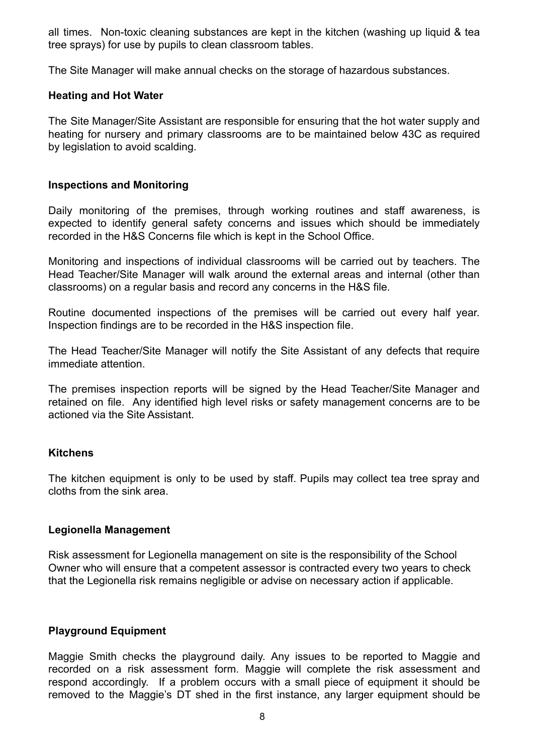all times. Non-toxic cleaning substances are kept in the kitchen (washing up liquid & tea tree sprays) for use by pupils to clean classroom tables.

The Site Manager will make annual checks on the storage of hazardous substances.

#### **Heating and Hot Water**

The Site Manager/Site Assistant are responsible for ensuring that the hot water supply and heating for nursery and primary classrooms are to be maintained below 43C as required by legislation to avoid scalding.

### **Inspections and Monitoring**

Daily monitoring of the premises, through working routines and staff awareness, is expected to identify general safety concerns and issues which should be immediately recorded in the H&S Concerns file which is kept in the School Office.

Monitoring and inspections of individual classrooms will be carried out by teachers. The Head Teacher/Site Manager will walk around the external areas and internal (other than classrooms) on a regular basis and record any concerns in the H&S file.

Routine documented inspections of the premises will be carried out every half year. Inspection findings are to be recorded in the H&S inspection file.

The Head Teacher/Site Manager will notify the Site Assistant of any defects that require immediate attention.

The premises inspection reports will be signed by the Head Teacher/Site Manager and retained on file. Any identified high level risks or safety management concerns are to be actioned via the Site Assistant.

### **Kitchens**

The kitchen equipment is only to be used by staff. Pupils may collect tea tree spray and cloths from the sink area.

### **Legionella Management**

Risk assessment for Legionella management on site is the responsibility of the School Owner who will ensure that a competent assessor is contracted every two years to check that the Legionella risk remains negligible or advise on necessary action if applicable.

### **Playground Equipment**

Maggie Smith checks the playground daily. Any issues to be reported to Maggie and recorded on a risk assessment form. Maggie will complete the risk assessment and respond accordingly. If a problem occurs with a small piece of equipment it should be removed to the Maggie's DT shed in the first instance, any larger equipment should be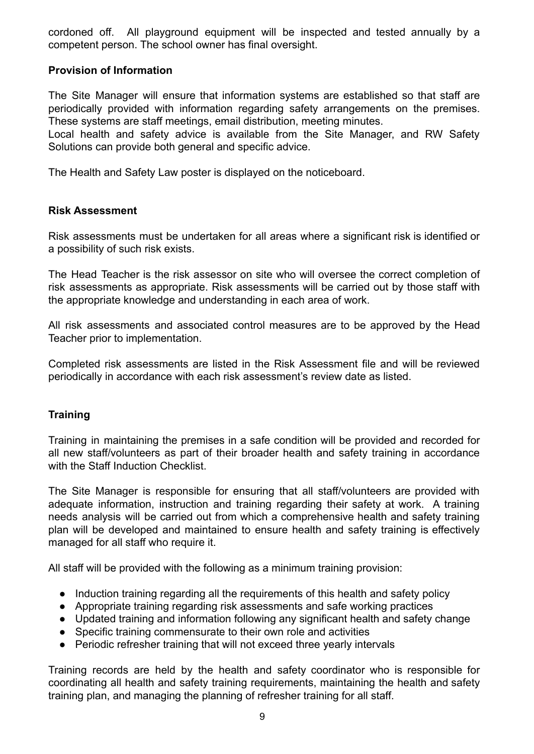cordoned off. All playground equipment will be inspected and tested annually by a competent person. The school owner has final oversight.

## **Provision of Information**

The Site Manager will ensure that information systems are established so that staff are periodically provided with information regarding safety arrangements on the premises. These systems are staff meetings, email distribution, meeting minutes.

Local health and safety advice is available from the Site Manager, and RW Safety Solutions can provide both general and specific advice.

The Health and Safety Law poster is displayed on the noticeboard.

### **Risk Assessment**

Risk assessments must be undertaken for all areas where a significant risk is identified or a possibility of such risk exists.

The Head Teacher is the risk assessor on site who will oversee the correct completion of risk assessments as appropriate. Risk assessments will be carried out by those staff with the appropriate knowledge and understanding in each area of work.

All risk assessments and associated control measures are to be approved by the Head Teacher prior to implementation.

Completed risk assessments are listed in the Risk Assessment file and will be reviewed periodically in accordance with each risk assessment's review date as listed.

### **Training**

Training in maintaining the premises in a safe condition will be provided and recorded for all new staff/volunteers as part of their broader health and safety training in accordance with the Staff Induction Checklist.

The Site Manager is responsible for ensuring that all staff/volunteers are provided with adequate information, instruction and training regarding their safety at work. A training needs analysis will be carried out from which a comprehensive health and safety training plan will be developed and maintained to ensure health and safety training is effectively managed for all staff who require it.

All staff will be provided with the following as a minimum training provision:

- Induction training regarding all the requirements of this health and safety policy
- Appropriate training regarding risk assessments and safe working practices
- Updated training and information following any significant health and safety change
- Specific training commensurate to their own role and activities
- Periodic refresher training that will not exceed three yearly intervals

Training records are held by the health and safety coordinator who is responsible for coordinating all health and safety training requirements, maintaining the health and safety training plan, and managing the planning of refresher training for all staff.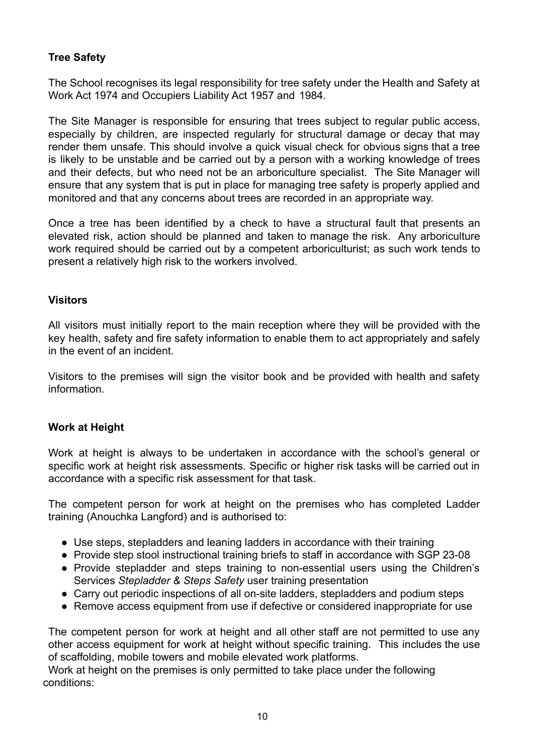# **Tree Safety**

The School recognises its legal responsibility for tree safety under the Health and Safety at Work Act 1974 and Occupiers Liability Act 1957 and 1984.

The Site Manager is responsible for ensuring that trees subject to regular public access, especially by children, are inspected regularly for structural damage or decay that may render them unsafe. This should involve a quick visual check for obvious signs that a tree is likely to be unstable and be carried out by a person with a working knowledge of trees and their defects, but who need not be an arboriculture specialist. The Site Manager will ensure that any system that is put in place for managing tree safety is properly applied and monitored and that any concerns about trees are recorded in an appropriate way.

Once a tree has been identified by a check to have a structural fault that presents an elevated risk, action should be planned and taken to manage the risk. Any arboriculture work required should be carried out by a competent arboriculturist; as such work tends to present a relatively high risk to the workers involved.

### **Visitors**

All visitors must initially report to the main reception where they will be provided with the key health, safety and fire safety information to enable them to act appropriately and safely in the event of an incident.

Visitors to the premises will sign the visitor book and be provided with health and safety information.

### **Work at Height**

Work at height is always to be undertaken in accordance with the school's general or specific work at height risk assessments. Specific or higher risk tasks will be carried out in accordance with a specific risk assessment for that task.

The competent person for work at height on the premises who has completed Ladder training (Anouchka Langford) and is authorised to:

- Use steps, stepladders and leaning ladders in accordance with their training
- Provide step stool instructional training briefs to staff in accordance with SGP 23-08
- Provide stepladder and steps training to non-essential users using the Children's Services *Stepladder & Steps Safety* user training presentation
- Carry out periodic inspections of all on-site ladders, stepladders and podium steps
- Remove access equipment from use if defective or considered inappropriate for use

The competent person for work at height and all other staff are not permitted to use any other access equipment for work at height without specific training. This includes the use of scaffolding, mobile towers and mobile elevated work platforms.

Work at height on the premises is only permitted to take place under the following conditions: